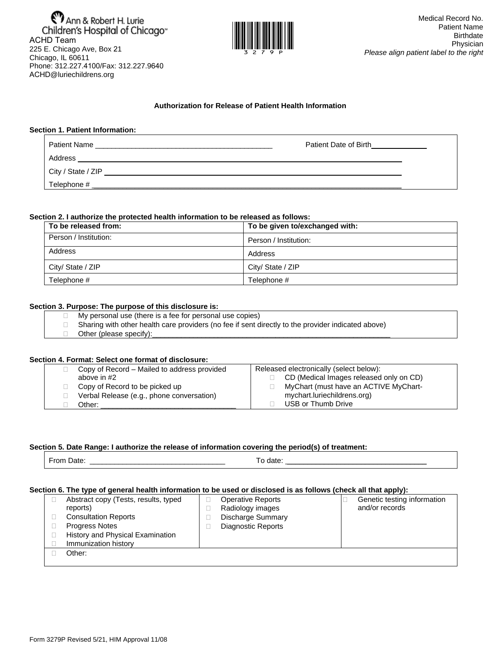**MAnn & Robert H. Lurie**<br>Children's Hospital of Chicago<sup>®</sup><br>ACHD Team 225 E. Chicago Ave, Box 21 Chicago, IL 60611 Phone: 312.227.4100/Fax: 312.227.9640 ACHD@luriechildrens.org



### **Authorization for Release of Patient Health Information**

### **Section 1. Patient Information:**

| Patient Name<br><u> 1989 - Johann Stoff, deutscher Stoff, der Stoff, der Stoff, der Stoff, der Stoff, der Stoff, der Stoff, der S</u> | Patient Date of Birth |  |
|---------------------------------------------------------------------------------------------------------------------------------------|-----------------------|--|
|                                                                                                                                       |                       |  |
|                                                                                                                                       |                       |  |
| Telephone #                                                                                                                           |                       |  |
|                                                                                                                                       |                       |  |

### **Section 2. I authorize the protected health information to be released as follows:**

| To be released from:  | To be given to/exchanged with: |
|-----------------------|--------------------------------|
| Person / Institution: | Person / Institution:          |
| Address               | Address                        |
| City/ State / ZIP     | City/ State / ZIP              |
| Telephone #           | Telephone #                    |

### **Section 3. Purpose: The purpose of this disclosure is:**

- $\Box$  My personal use (there is a fee for personal use copies)
- □ Sharing with other health care providers (no fee if sent directly to the provider indicated above)
- $\Box$  Other (please specify):

### **Section 4. Format: Select one format of disclosure:**

| Copy of Record – Mailed to address provided | Released electronically (select below): |  |
|---------------------------------------------|-----------------------------------------|--|
| above in #2                                 | CD (Medical Images released only on CD) |  |
| Copy of Record to be picked up              | MyChart (must have an ACTIVE MyChart-   |  |
| Verbal Release (e.g., phone conversation)   | mychart.luriechildrens.org)             |  |
| Other:                                      | USB or Thumb Drive                      |  |

# **Section 5. Date Range: I authorize the release of information covering the period(s) of treatment:**

|--|

#### **Section 6. The type of general health information to be used or disclosed is as follows (check all that apply):**

| Abstract copy (Tests, results, typed | <b>Operative Reports</b>  | Genetic testing information |
|--------------------------------------|---------------------------|-----------------------------|
| reports)                             | Radiology images          | and/or records              |
| <b>Consultation Reports</b>          | Discharge Summary         |                             |
| <b>Progress Notes</b>                | <b>Diagnostic Reports</b> |                             |
| History and Physical Examination     |                           |                             |
| Immunization history                 |                           |                             |
| Other:                               |                           |                             |
|                                      |                           |                             |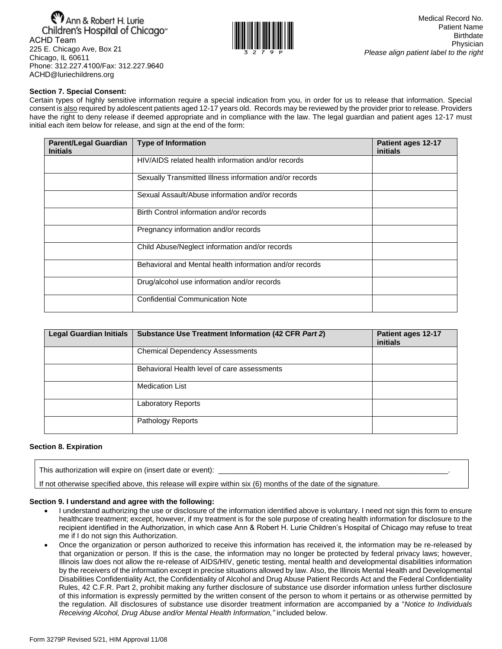Ann & Robert H. Lurie Children's Hospital of Chicago<sup>®</sup> ACHD Team 225 E. Chicago Ave, Box 21 Chicago, IL 60611 Phone: 312.227.4100/Fax: 312.227.9640 ACHD@luriechildrens.org



### **Section 7. Special Consent:**

Certain types of highly sensitive information require a special indication from you, in order for us to release that information. Special consent is also required by adolescent patients aged 12-17 years old. Records may be reviewed by the provider prior to release. Providers have the right to deny release if deemed appropriate and in compliance with the law. The legal guardian and patient ages 12-17 must initial each item below for release, and sign at the end of the form:

| <b>Parent/Legal Guardian</b><br><b>Initials</b> | <b>Type of Information</b>                              | Patient ages 12-17<br>initials |
|-------------------------------------------------|---------------------------------------------------------|--------------------------------|
|                                                 | HIV/AIDS related health information and/or records      |                                |
|                                                 | Sexually Transmitted Illness information and/or records |                                |
|                                                 | Sexual Assault/Abuse information and/or records         |                                |
|                                                 | Birth Control information and/or records                |                                |
|                                                 | Pregnancy information and/or records                    |                                |
|                                                 | Child Abuse/Neglect information and/or records          |                                |
|                                                 | Behavioral and Mental health information and/or records |                                |
|                                                 | Drug/alcohol use information and/or records             |                                |
|                                                 | <b>Confidential Communication Note</b>                  |                                |

| <b>Legal Guardian Initials</b> | Substance Use Treatment Information (42 CFR Part 2) | Patient ages 12-17<br><i>initials</i> |
|--------------------------------|-----------------------------------------------------|---------------------------------------|
|                                | <b>Chemical Dependency Assessments</b>              |                                       |
|                                | Behavioral Health level of care assessments         |                                       |
|                                | <b>Medication List</b>                              |                                       |
|                                | <b>Laboratory Reports</b>                           |                                       |
|                                | <b>Pathology Reports</b>                            |                                       |

### **Section 8. Expiration**

This authorization will expire on (insert date or event):

If not otherwise specified above, this release will expire within six (6) months of the date of the signature.

## **Section 9. I understand and agree with the following:**

- I understand authorizing the use or disclosure of the information identified above is voluntary. I need not sign this form to ensure healthcare treatment; except, however, if my treatment is for the sole purpose of creating health information for disclosure to the recipient identified in the Authorization, in which case Ann & Robert H. Lurie Children's Hospital of Chicago may refuse to treat me if I do not sign this Authorization.
- Once the organization or person authorized to receive this information has received it, the information may be re-released by that organization or person. If this is the case, the information may no longer be protected by federal privacy laws; however, Illinois law does not allow the re-release of AIDS/HIV, genetic testing, mental health and developmental disabilities information by the receivers of the information except in precise situations allowed by law. Also, the Illinois Mental Health and Developmental Disabilities Confidentiality Act, the Confidentiality of Alcohol and Drug Abuse Patient Records Act and the Federal Confidentiality Rules, 42 C.F.R. Part 2, prohibit making any further disclosure of substance use disorder information unless further disclosure of this information is expressly permitted by the written consent of the person to whom it pertains or as otherwise permitted by the regulation. All disclosures of substance use disorder treatment information are accompanied by a "*Notice to Individuals Receiving Alcohol, Drug Abuse and/or Mental Health Information,"* included below.